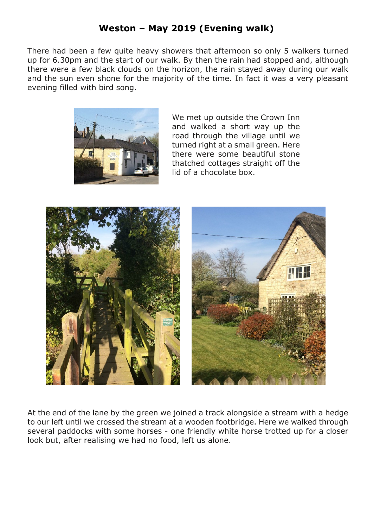## **Weston – May 2019 (Evening walk)**

There had been a few quite heavy showers that afternoon so only 5 walkers turned up for 6.30pm and the start of our walk. By then the rain had stopped and, although there were a few black clouds on the horizon, the rain stayed away during our walk and the sun even shone for the majority of the time. In fact it was a very pleasant evening filled with bird song.



We met up outside the Crown Inn and walked a short way up the road through the village until we turned right at a small green. Here there were some beautiful stone thatched cottages straight off the lid of a chocolate box.



At the end of the lane by the green we joined a track alongside a stream with a hedge to our left until we crossed the stream at a wooden footbridge. Here we walked through several paddocks with some horses - one friendly white horse trotted up for a closer look but, after realising we had no food, left us alone.